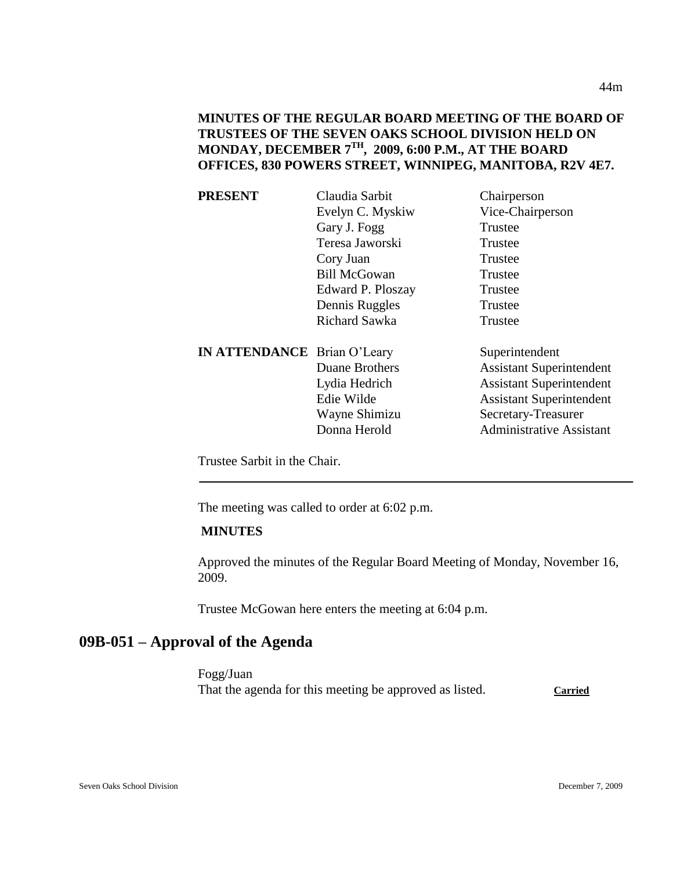**MINUTES OF THE REGULAR BOARD MEETING OF THE BOARD OF TRUSTEES OF THE SEVEN OAKS SCHOOL DIVISION HELD ON MONDAY, DECEMBER 7TH, 2009, 6:00 P.M., AT THE BOARD OFFICES, 830 POWERS STREET, WINNIPEG, MANITOBA, R2V 4E7.**

| <b>PRESENT</b>                     | Claudia Sarbit      | Chairperson                     |
|------------------------------------|---------------------|---------------------------------|
|                                    | Evelyn C. Myskiw    | Vice-Chairperson                |
|                                    | Gary J. Fogg        | Trustee                         |
|                                    | Teresa Jaworski     | Trustee                         |
|                                    | Cory Juan           | Trustee                         |
|                                    | <b>Bill McGowan</b> | Trustee                         |
|                                    | Edward P. Ploszay   | Trustee                         |
|                                    | Dennis Ruggles      | Trustee                         |
|                                    | Richard Sawka       | Trustee                         |
| <b>IN ATTENDANCE</b> Brian O'Leary |                     | Superintendent                  |
|                                    | Duane Brothers      | <b>Assistant Superintendent</b> |
|                                    | Lydia Hedrich       | <b>Assistant Superintendent</b> |
|                                    | Edie Wilde          | <b>Assistant Superintendent</b> |
|                                    | Wayne Shimizu       | Secretary-Treasurer             |
|                                    | Donna Herold        | <b>Administrative Assistant</b> |
|                                    |                     |                                 |

Trustee Sarbit in the Chair.

The meeting was called to order at 6:02 p.m.

#### **MINUTES**

Approved the minutes of the Regular Board Meeting of Monday, November 16, 2009.

Trustee McGowan here enters the meeting at 6:04 p.m.

# **09B-051 – Approval of the Agenda**

Fogg/Juan That the agenda for this meeting be approved as listed. Carried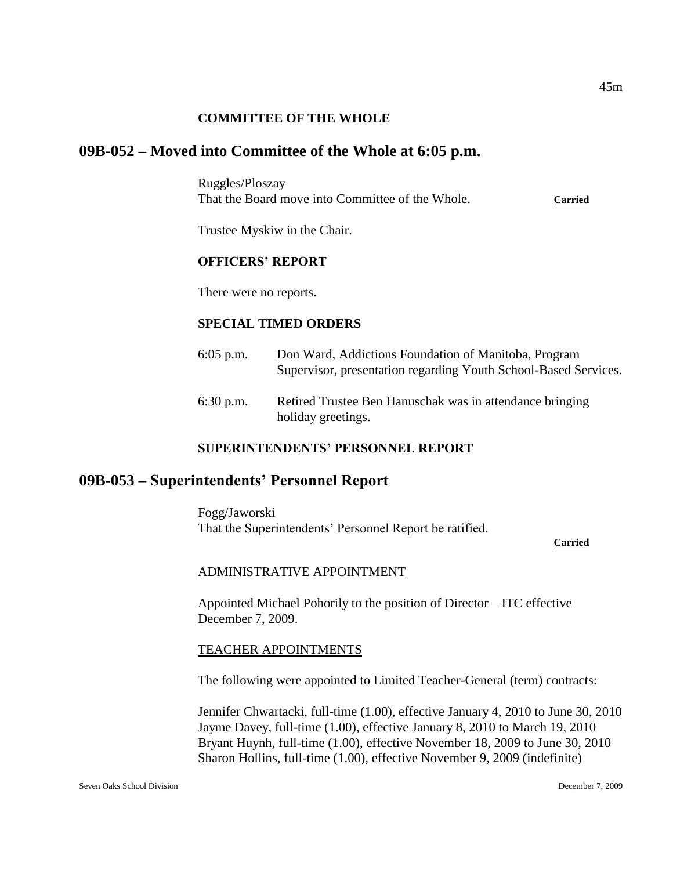#### **COMMITTEE OF THE WHOLE**

# **09B-052 – Moved into Committee of the Whole at 6:05 p.m.**

Ruggles/Ploszay That the Board move into Committee of the Whole. **Carried**

Trustee Myskiw in the Chair.

#### **OFFICERS' REPORT**

There were no reports.

#### **SPECIAL TIMED ORDERS**

6:05 p.m. Don Ward, Addictions Foundation of Manitoba, Program Supervisor, presentation regarding Youth School-Based Services. 6:30 p.m. Retired Trustee Ben Hanuschak was in attendance bringing

# **SUPERINTENDENTS' PERSONNEL REPORT**

holiday greetings.

# **09B-053 – Superintendents' Personnel Report**

Fogg/Jaworski That the Superintendents' Personnel Report be ratified.

#### **Carried**

#### ADMINISTRATIVE APPOINTMENT

Appointed Michael Pohorily to the position of Director – ITC effective December 7, 2009.

#### TEACHER APPOINTMENTS

The following were appointed to Limited Teacher-General (term) contracts:

Jennifer Chwartacki, full-time (1.00), effective January 4, 2010 to June 30, 2010 Jayme Davey, full-time (1.00), effective January 8, 2010 to March 19, 2010 Bryant Huynh, full-time (1.00), effective November 18, 2009 to June 30, 2010 Sharon Hollins, full-time (1.00), effective November 9, 2009 (indefinite)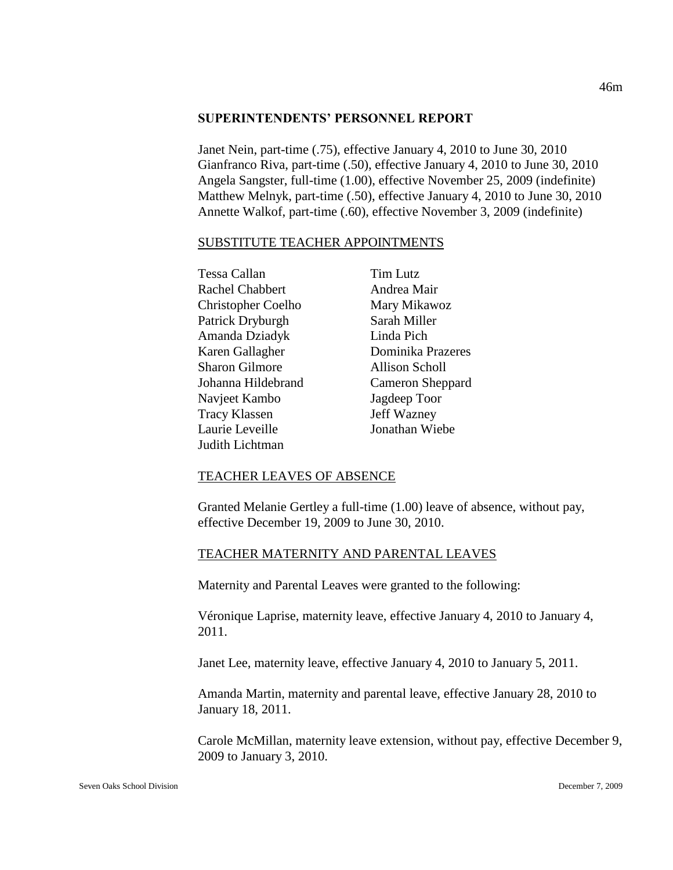#### **SUPERINTENDENTS' PERSONNEL REPORT**

Janet Nein, part-time (.75), effective January 4, 2010 to June 30, 2010 Gianfranco Riva, part-time (.50), effective January 4, 2010 to June 30, 2010 Angela Sangster, full-time (1.00), effective November 25, 2009 (indefinite) Matthew Melnyk, part-time (.50), effective January 4, 2010 to June 30, 2010 Annette Walkof, part-time (.60), effective November 3, 2009 (indefinite)

#### SUBSTITUTE TEACHER APPOINTMENTS

| Tessa Callan              | Tim Lutz          |
|---------------------------|-------------------|
| <b>Rachel Chabbert</b>    | Andrea Mair       |
| <b>Christopher Coelho</b> | Mary Mikawoz      |
| Patrick Dryburgh          | Sarah Miller      |
| Amanda Dziadyk            | Linda Pich        |
| Karen Gallagher           | Dominika Prazeres |
| <b>Sharon Gilmore</b>     | Allison Scholl    |
| Johanna Hildebrand        | Cameron Sheppard  |
| Navjeet Kambo             | Jagdeep Toor      |
| <b>Tracy Klassen</b>      | Jeff Wazney       |
| Laurie Leveille           | Jonathan Wiebe    |
| Judith Lichtman           |                   |

#### TEACHER LEAVES OF ABSENCE

Granted Melanie Gertley a full-time (1.00) leave of absence, without pay, effective December 19, 2009 to June 30, 2010.

#### TEACHER MATERNITY AND PARENTAL LEAVES

Maternity and Parental Leaves were granted to the following:

Véronique Laprise, maternity leave, effective January 4, 2010 to January 4, 2011.

Janet Lee, maternity leave, effective January 4, 2010 to January 5, 2011.

Amanda Martin, maternity and parental leave, effective January 28, 2010 to January 18, 2011.

Carole McMillan, maternity leave extension, without pay, effective December 9, 2009 to January 3, 2010.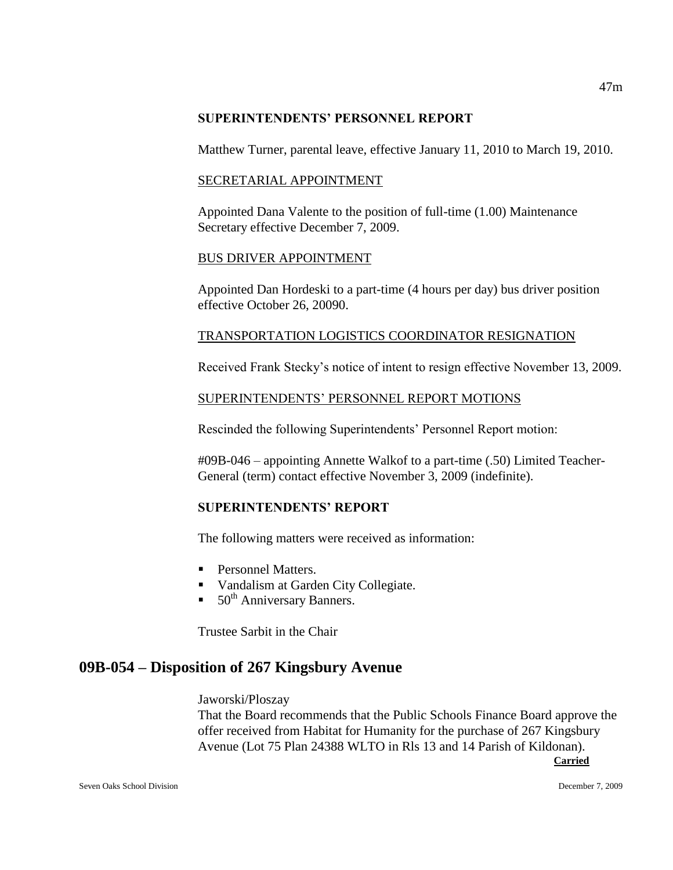#### **SUPERINTENDENTS' PERSONNEL REPORT**

Matthew Turner, parental leave, effective January 11, 2010 to March 19, 2010.

# SECRETARIAL APPOINTMENT

Appointed Dana Valente to the position of full-time (1.00) Maintenance Secretary effective December 7, 2009.

# BUS DRIVER APPOINTMENT

Appointed Dan Hordeski to a part-time (4 hours per day) bus driver position effective October 26, 20090.

# TRANSPORTATION LOGISTICS COORDINATOR RESIGNATION

Received Frank Stecky's notice of intent to resign effective November 13, 2009.

# SUPERINTENDENTS' PERSONNEL REPORT MOTIONS

Rescinded the following Superintendents' Personnel Report motion:

#09B-046 – appointing Annette Walkof to a part-time (.50) Limited Teacher-General (term) contact effective November 3, 2009 (indefinite).

# **SUPERINTENDENTS' REPORT**

The following matters were received as information:

- Personnel Matters.
- **Vandalism at Garden City Collegiate.**
- $\blacksquare$  50<sup>th</sup> Anniversary Banners.

Trustee Sarbit in the Chair

# **09B-054 – Disposition of 267 Kingsbury Avenue**

Jaworski/Ploszay

That the Board recommends that the Public Schools Finance Board approve the offer received from Habitat for Humanity for the purchase of 267 Kingsbury Avenue (Lot 75 Plan 24388 WLTO in Rls 13 and 14 Parish of Kildonan).

**Carried**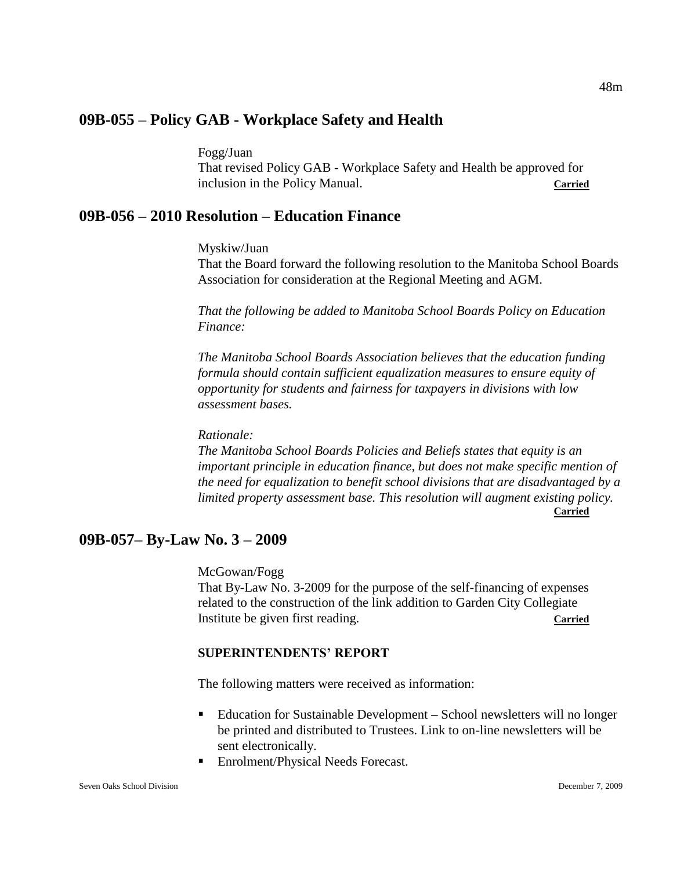# **09B-055 – Policy GAB - Workplace Safety and Health**

Fogg/Juan

That revised Policy GAB - Workplace Safety and Health be approved for inclusion in the Policy Manual. **Carried**

# **09B-056 – 2010 Resolution – Education Finance**

Myskiw/Juan

That the Board forward the following resolution to the Manitoba School Boards Association for consideration at the Regional Meeting and AGM.

*That the following be added to Manitoba School Boards Policy on Education Finance:*

*The Manitoba School Boards Association believes that the education funding formula should contain sufficient equalization measures to ensure equity of opportunity for students and fairness for taxpayers in divisions with low assessment bases.*

*Rationale:*

*The Manitoba School Boards Policies and Beliefs states that equity is an important principle in education finance, but does not make specific mention of the need for equalization to benefit school divisions that are disadvantaged by a limited property assessment base. This resolution will augment existing policy.* **Carried**

# **09B-057– By-Law No. 3 – 2009**

McGowan/Fogg

That By-Law No. 3-2009 for the purpose of the self-financing of expenses related to the construction of the link addition to Garden City Collegiate Institute be given first reading. **Carried**

#### **SUPERINTENDENTS' REPORT**

The following matters were received as information:

- Education for Sustainable Development School newsletters will no longer be printed and distributed to Trustees. Link to on-line newsletters will be sent electronically.
- Enrolment/Physical Needs Forecast.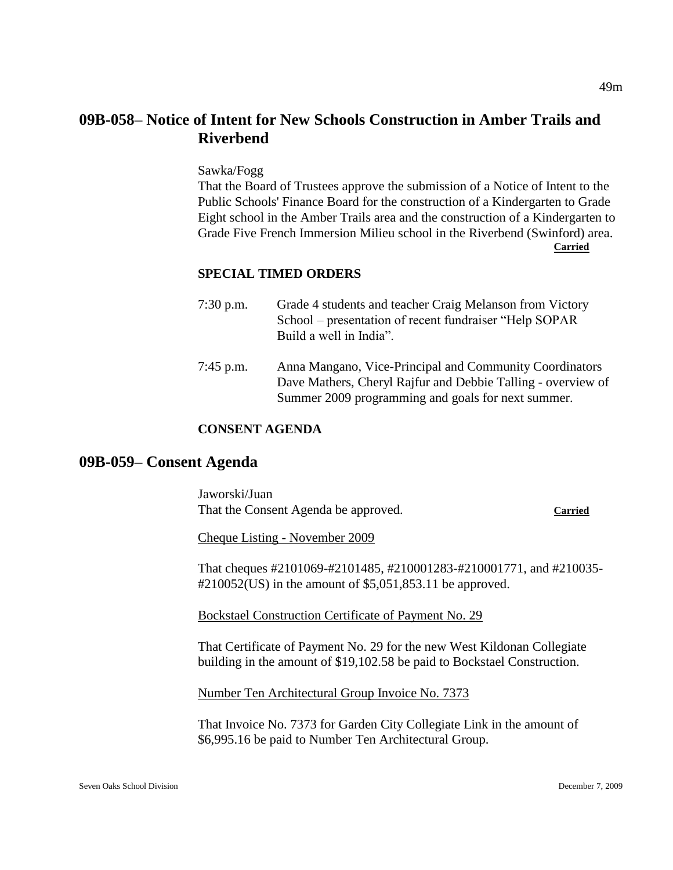# **09B-058– Notice of Intent for New Schools Construction in Amber Trails and Riverbend**

Sawka/Fogg

That the Board of Trustees approve the submission of a Notice of Intent to the Public Schools' Finance Board for the construction of a Kindergarten to Grade Eight school in the Amber Trails area and the construction of a Kindergarten to Grade Five French Immersion Milieu school in the Riverbend (Swinford) area. **Carried**

#### **SPECIAL TIMED ORDERS**

- 7:30 p.m. Grade 4 students and teacher Craig Melanson from Victory School – presentation of recent fundraiser "Help SOPAR Build a well in India".
- 7:45 p.m. Anna Mangano, Vice-Principal and Community Coordinators Dave Mathers, Cheryl Rajfur and Debbie Talling - overview of Summer 2009 programming and goals for next summer.

# **CONSENT AGENDA**

# **09B-059– Consent Agenda**

Jaworski/Juan That the Consent Agenda be approved. **Carried**

Cheque Listing - November 2009

That cheques #2101069-#2101485, #210001283-#210001771, and #210035-  $\text{\#}210052(US)$  in the amount of \$5,051,853.11 be approved.

Bockstael Construction Certificate of Payment No. 29

That Certificate of Payment No. 29 for the new West Kildonan Collegiate building in the amount of \$19,102.58 be paid to Bockstael Construction.

Number Ten Architectural Group Invoice No. 7373

That Invoice No. 7373 for Garden City Collegiate Link in the amount of \$6,995.16 be paid to Number Ten Architectural Group.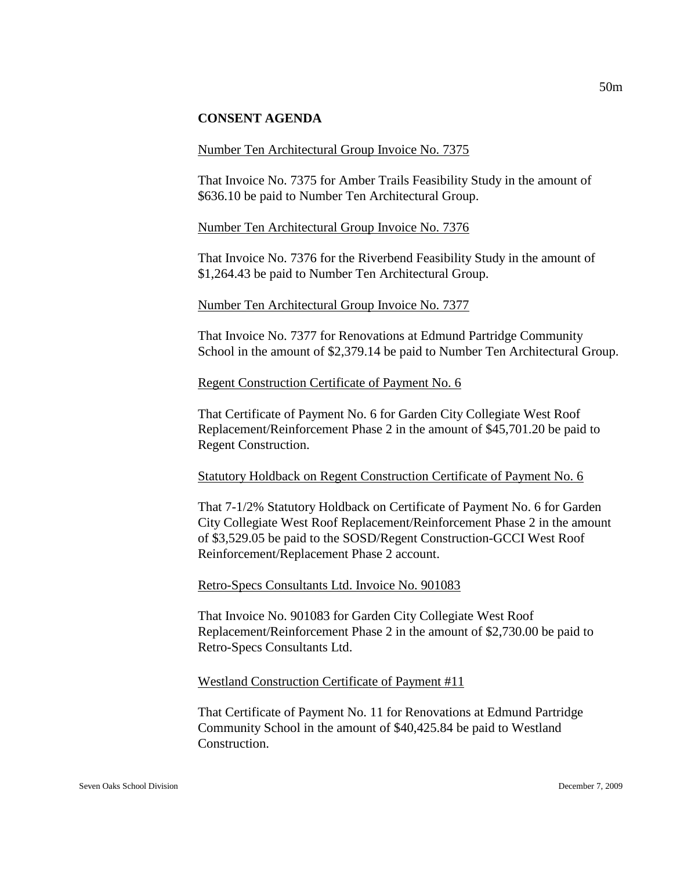#### **CONSENT AGENDA**

#### Number Ten Architectural Group Invoice No. 7375

That Invoice No. 7375 for Amber Trails Feasibility Study in the amount of \$636.10 be paid to Number Ten Architectural Group.

#### Number Ten Architectural Group Invoice No. 7376

That Invoice No. 7376 for the Riverbend Feasibility Study in the amount of \$1,264.43 be paid to Number Ten Architectural Group.

#### Number Ten Architectural Group Invoice No. 7377

That Invoice No. 7377 for Renovations at Edmund Partridge Community School in the amount of \$2,379.14 be paid to Number Ten Architectural Group.

#### Regent Construction Certificate of Payment No. 6

That Certificate of Payment No. 6 for Garden City Collegiate West Roof Replacement/Reinforcement Phase 2 in the amount of \$45,701.20 be paid to Regent Construction.

#### Statutory Holdback on Regent Construction Certificate of Payment No. 6

That 7-1/2% Statutory Holdback on Certificate of Payment No. 6 for Garden City Collegiate West Roof Replacement/Reinforcement Phase 2 in the amount of \$3,529.05 be paid to the SOSD/Regent Construction-GCCI West Roof Reinforcement/Replacement Phase 2 account.

#### Retro-Specs Consultants Ltd. Invoice No. 901083

That Invoice No. 901083 for Garden City Collegiate West Roof Replacement/Reinforcement Phase 2 in the amount of \$2,730.00 be paid to Retro-Specs Consultants Ltd.

#### Westland Construction Certificate of Payment #11

That Certificate of Payment No. 11 for Renovations at Edmund Partridge Community School in the amount of \$40,425.84 be paid to Westland Construction.

50m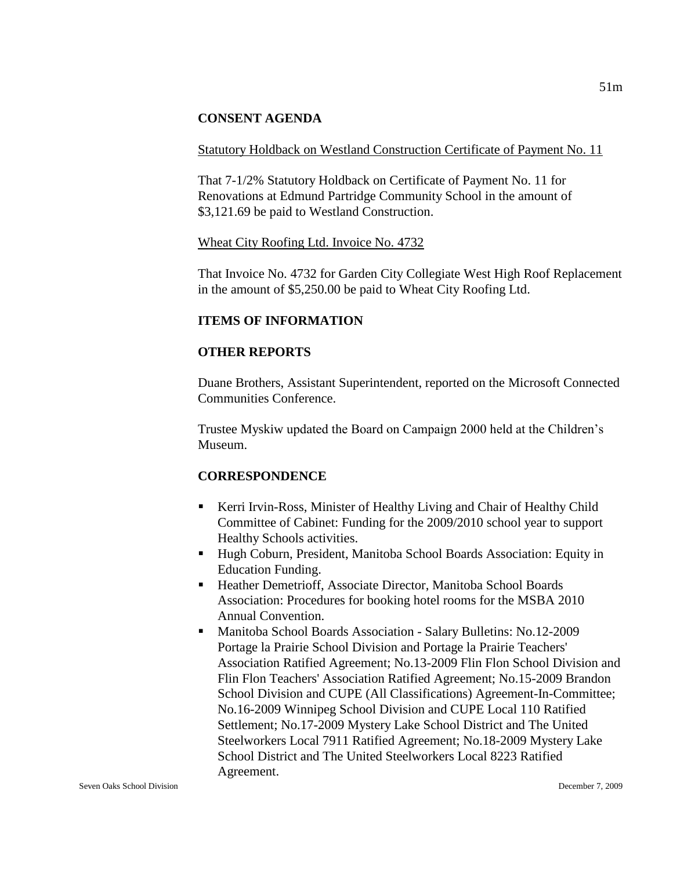# **CONSENT AGENDA**

#### Statutory Holdback on Westland Construction Certificate of Payment No. 11

That 7-1/2% Statutory Holdback on Certificate of Payment No. 11 for Renovations at Edmund Partridge Community School in the amount of \$3,121.69 be paid to Westland Construction.

#### Wheat City Roofing Ltd. Invoice No. 4732

That Invoice No. 4732 for Garden City Collegiate West High Roof Replacement in the amount of \$5,250.00 be paid to Wheat City Roofing Ltd.

# **ITEMS OF INFORMATION**

#### **OTHER REPORTS**

Duane Brothers, Assistant Superintendent, reported on the Microsoft Connected Communities Conference.

Trustee Myskiw updated the Board on Campaign 2000 held at the Children's Museum.

# **CORRESPONDENCE**

- Kerri Irvin-Ross, Minister of Healthy Living and Chair of Healthy Child Committee of Cabinet: Funding for the 2009/2010 school year to support Healthy Schools activities.
- Hugh Coburn, President, Manitoba School Boards Association: Equity in Education Funding.
- Heather Demetrioff, Associate Director, Manitoba School Boards Association: Procedures for booking hotel rooms for the MSBA 2010 Annual Convention.
- Manitoba School Boards Association Salary Bulletins: No.12-2009 Portage la Prairie School Division and Portage la Prairie Teachers' Association Ratified Agreement; No.13-2009 Flin Flon School Division and Flin Flon Teachers' Association Ratified Agreement; No.15-2009 Brandon School Division and CUPE (All Classifications) Agreement-In-Committee; No.16-2009 Winnipeg School Division and CUPE Local 110 Ratified Settlement; No.17-2009 Mystery Lake School District and The United Steelworkers Local 7911 Ratified Agreement; No.18-2009 Mystery Lake School District and The United Steelworkers Local 8223 Ratified Agreement.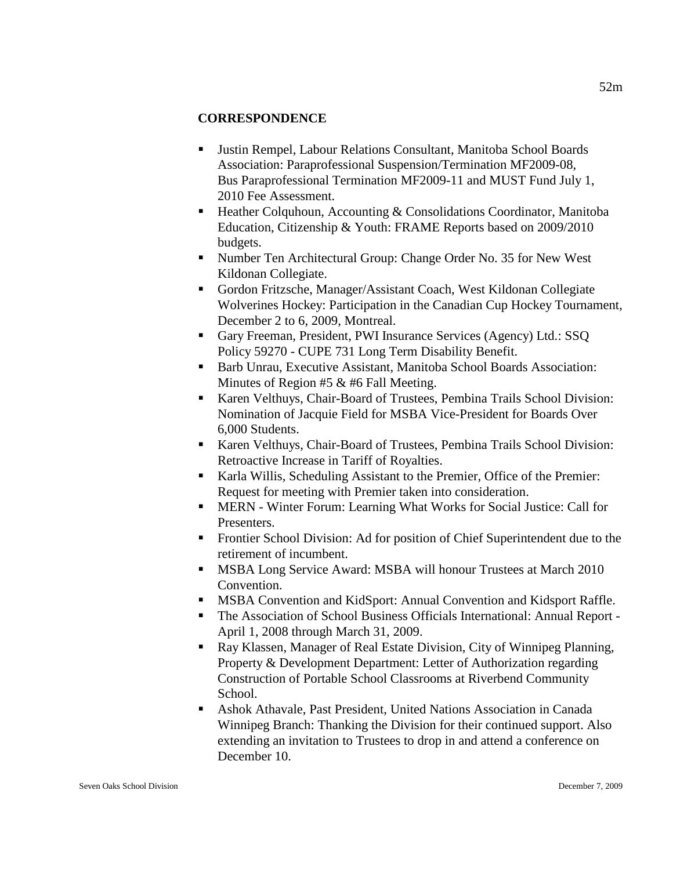# **CORRESPONDENCE**

- Justin Rempel, Labour Relations Consultant, Manitoba School Boards Association: Paraprofessional Suspension/Termination MF2009-08, Bus Paraprofessional Termination MF2009-11 and MUST Fund July 1, 2010 Fee Assessment.
- Heather Colquhoun, Accounting & Consolidations Coordinator, Manitoba Education, Citizenship & Youth: FRAME Reports based on 2009/2010 budgets.
- Number Ten Architectural Group: Change Order No. 35 for New West Kildonan Collegiate.
- Gordon Fritzsche, Manager/Assistant Coach, West Kildonan Collegiate Wolverines Hockey: Participation in the Canadian Cup Hockey Tournament, December 2 to 6, 2009, Montreal.
- Gary Freeman, President, PWI Insurance Services (Agency) Ltd.: SSQ Policy 59270 - CUPE 731 Long Term Disability Benefit.
- Barb Unrau, Executive Assistant, Manitoba School Boards Association: Minutes of Region #5 & #6 Fall Meeting.
- Karen Velthuys, Chair-Board of Trustees, Pembina Trails School Division: Nomination of Jacquie Field for MSBA Vice-President for Boards Over 6,000 Students.
- Karen Velthuys, Chair-Board of Trustees, Pembina Trails School Division: Retroactive Increase in Tariff of Royalties.
- Karla Willis, Scheduling Assistant to the Premier, Office of the Premier: Request for meeting with Premier taken into consideration.
- MERN Winter Forum: Learning What Works for Social Justice: Call for Presenters.
- Frontier School Division: Ad for position of Chief Superintendent due to the retirement of incumbent.
- **MSBA Long Service Award: MSBA will honour Trustees at March 2010** Convention.
- **MSBA Convention and KidSport: Annual Convention and Kidsport Raffle.**
- The Association of School Business Officials International: Annual Report April 1, 2008 through March 31, 2009.
- Ray Klassen, Manager of Real Estate Division, City of Winnipeg Planning, Property & Development Department: Letter of Authorization regarding Construction of Portable School Classrooms at Riverbend Community School.
- Ashok Athavale, Past President, United Nations Association in Canada Winnipeg Branch: Thanking the Division for their continued support. Also extending an invitation to Trustees to drop in and attend a conference on December 10.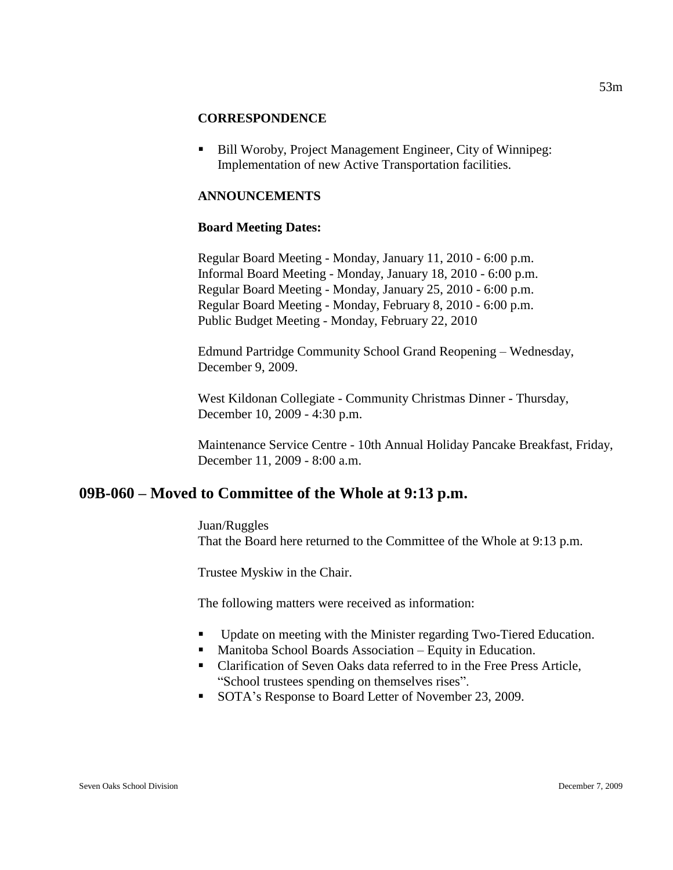#### **CORRESPONDENCE**

 Bill Woroby, Project Management Engineer, City of Winnipeg: Implementation of new Active Transportation facilities.

### **ANNOUNCEMENTS**

#### **Board Meeting Dates:**

Regular Board Meeting - Monday, January 11, 2010 - 6:00 p.m. Informal Board Meeting - Monday, January 18, 2010 - 6:00 p.m. Regular Board Meeting - Monday, January 25, 2010 - 6:00 p.m. Regular Board Meeting - Monday, February 8, 2010 - 6:00 p.m. Public Budget Meeting - Monday, February 22, 2010

Edmund Partridge Community School Grand Reopening – Wednesday, December 9, 2009.

West Kildonan Collegiate - Community Christmas Dinner - Thursday, December 10, 2009 - 4:30 p.m.

Maintenance Service Centre - 10th Annual Holiday Pancake Breakfast, Friday, December 11, 2009 - 8:00 a.m.

# **09B-060 – Moved to Committee of the Whole at 9:13 p.m.**

#### Juan/Ruggles

That the Board here returned to the Committee of the Whole at 9:13 p.m.

Trustee Myskiw in the Chair.

The following matters were received as information:

- Update on meeting with the Minister regarding Two-Tiered Education.
- Manitoba School Boards Association Equity in Education.
- Clarification of Seven Oaks data referred to in the Free Press Article, "School trustees spending on themselves rises".
- SOTA's Response to Board Letter of November 23, 2009.